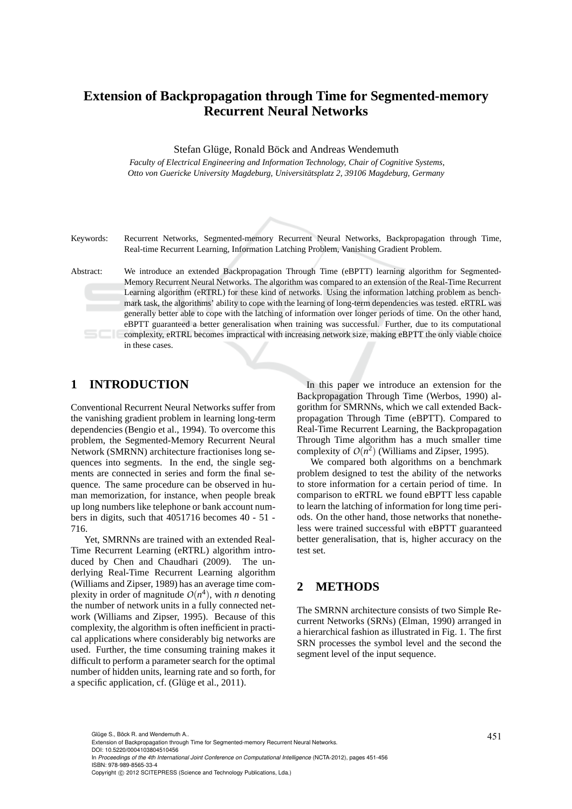# **Extension of Backpropagation through Time for Segmented-memory Recurrent Neural Networks**

Stefan Glüge, Ronald Böck and Andreas Wendemuth

*Faculty of Electrical Engineering and Information Technology, Chair of Cognitive Systems,* Otto von Guericke University Magdeburg, Universitätsplatz 2, 39106 Magdeburg, Germany

Keywords: Recurrent Networks, Segmented-memory Recurrent Neural Networks, Backpropagation through Time, Real-time Recurrent Learning, Information Latching Problem, Vanishing Gradient Problem.

Abstract: We introduce an extended Backpropagation Through Time (eBPTT) learning algorithm for Segmented-Memory Recurrent Neural Networks. The algorithm was compared to an extension of the Real-Time Recurrent Learning algorithm (eRTRL) for these kind of networks. Using the information latching problem as benchmark task, the algorithms' ability to cope with the learning of long-term dependencies was tested. eRTRL was generally better able to cope with the latching of information over longer periods of time. On the other hand, eBPTT guaranteed a better generalisation when training was successful. Further, due to its computational complexity, eRTRL becomes impractical with increasing network size, making eBPTT the only viable choice in these cases.

## **1 INTRODUCTION**

Conventional Recurrent Neural Networks suffer from the vanishing gradient problem in learning long-term dependencies (Bengio et al., 1994). To overcome this problem, the Segmented-Memory Recurrent Neural Network (SMRNN) architecture fractionises long sequences into segments. In the end, the single segments are connected in series and form the final sequence. The same procedure can be observed in human memorization, for instance, when people break up long numbers like telephone or bank account numbers in digits, such that 4051716 becomes 40 - 51 - 716.

Yet, SMRNNs are trained with an extended Real-Time Recurrent Learning (eRTRL) algorithm introduced by Chen and Chaudhari (2009). The underlying Real-Time Recurrent Learning algorithm (Williams and Zipser, 1989) has an average time complexity in order of magnitude  $O(n^4)$ , with *n* denoting the number of network units in a fully connected network (Williams and Zipser, 1995). Because of this complexity, the algorithm is often inefficient in practical applications where considerably big networks are used. Further, the time consuming training makes it difficult to perform a parameter search for the optimal number of hidden units, learning rate and so forth, for a specific application, cf. (Glüge et al., 2011).

In this paper we introduce an extension for the Backpropagation Through Time (Werbos, 1990) algorithm for SMRNNs, which we call extended Backpropagation Through Time (eBPTT). Compared to Real-Time Recurrent Learning, the Backpropagation Through Time algorithm has a much smaller time complexity of  $O(n^2)$  (Williams and Zipser, 1995).

We compared both algorithms on a benchmark problem designed to test the ability of the networks to store information for a certain period of time. In comparison to eRTRL we found eBPTT less capable to learn the latching of information for long time periods. On the other hand, those networks that nonetheless were trained successful with eBPTT guaranteed better generalisation, that is, higher accuracy on the test set.

## **2 METHODS**

The SMRNN architecture consists of two Simple Recurrent Networks (SRNs) (Elman, 1990) arranged in a hierarchical fashion as illustrated in Fig. 1. The first SRN processes the symbol level and the second the segment level of the input sequence.

Glüge S., Böck R. and Wendemuth A..<br>Extension of Backpropagation through Time for Segmented-memory Recurrent Neural Networks. DOI: 10.5220/0004103804510456 In *Proceedings of the 4th International Joint Conference on Computational Intelligence* (NCTA-2012), pages 451-456 ISBN: 978-989-8565-33-4 Copyright © 2012 SCITEPRESS (Science and Technology Publications, Lda.)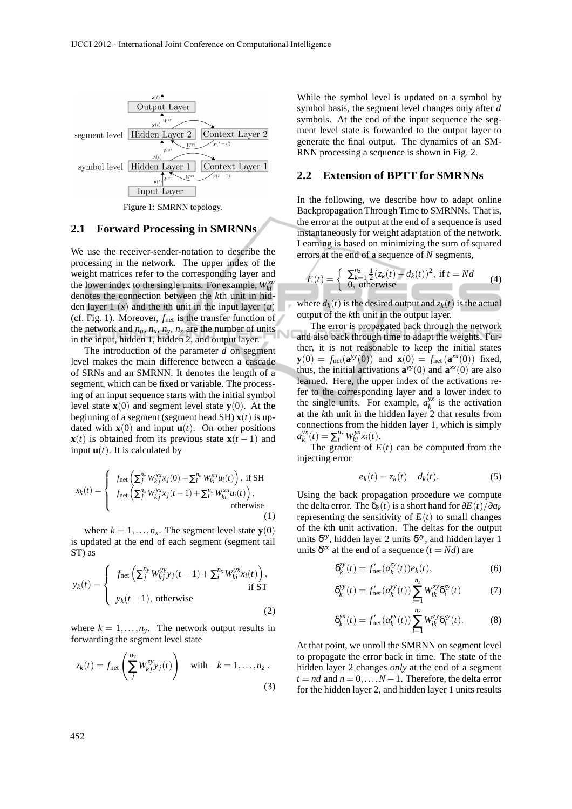

#### **2.1 Forward Processing in SMRNNs**

We use the receiver-sender-notation to describe the processing in the network. The upper index of the weight matrices refer to the corresponding layer and the lower index to the single units. For example,  $W_{ki}^{xu}$ denotes the connection between the *k*th unit in hidden layer 1  $(x)$  and the *i*th unit in the input layer  $(u)$ (cf. Fig. 1). Moreover, *f*net is the transfer function of the network and  $n_u$ ,  $n_x$ ,  $n_y$ ,  $n_z$  are the number of units in the input, hidden 1, hidden 2, and output layer.

The introduction of the parameter *d* on segment level makes the main difference between a cascade of SRNs and an SMRNN. It denotes the length of a segment, which can be fixed or variable. The processing of an input sequence starts with the initial symbol level state  $\mathbf{x}(0)$  and segment level state  $\mathbf{v}(0)$ . At the beginning of a segment (segment head SH)  $\mathbf{x}(t)$  is updated with  $\mathbf{x}(0)$  and input  $\mathbf{u}(t)$ . On other positions **x**(*t*) is obtained from its previous state **x**(*t* − 1) and input  $\mathbf{u}(t)$ . It is calculated by

$$
x_k(t) = \begin{cases} f_{\text{net}}\left(\sum_{j}^{n_x} W_{kj}^{xx} x_j(0) + \sum_{i}^{n_u} W_{ki}^{xu} u_i(t)\right), \text{ if SH} \\ f_{\text{net}}\left(\sum_{j}^{n_x} W_{kj}^{xx} x_j(t-1) + \sum_{i}^{n_u} W_{ki}^{xu} u_i(t)\right), \\ 0, \text{ otherwise} \end{cases}
$$

where  $k = 1, \ldots, n_x$ . The segment level state **y**(0) is updated at the end of each segment (segment tail ST) as

$$
y_k(t) = \begin{cases} f_{\text{net}}\left(\sum_{j}^{n_y} W_{kj}^{yy} y_j(t-1) + \sum_{i}^{n_x} W_{ki}^{yx} x_i(t)\right), \\ y_k(t-1), \text{ otherwise} \end{cases} \text{ if } ST \tag{2}
$$

where  $k = 1, \ldots, n_v$ . The network output results in forwarding the segment level state

$$
z_k(t) = f_{\text{net}}\left(\sum_{j}^{n_y} W_{kj}^{zy} y_j(t)\right) \quad \text{with} \quad k = 1, \dots, n_z.
$$
\n(3)

While the symbol level is updated on a symbol by symbol basis, the segment level changes only after *d* symbols. At the end of the input sequence the segment level state is forwarded to the output layer to generate the final output. The dynamics of an SM-RNN processing a sequence is shown in Fig. 2.

#### **2.2 Extension of BPTT for SMRNNs**

In the following, we describe how to adapt online Backpropagation Through Time to SMRNNs. That is, the error at the output at the end of a sequence is used instantaneously for weight adaptation of the network. Learning is based on minimizing the sum of squared errors at the end of a sequence of *N* segments,

$$
E(t) = \begin{cases} \sum_{k=1}^{n_z} \frac{1}{2} (z_k(t) - d_k(t))^2, & \text{if } t = Nd \\ 0, & \text{otherwise} \end{cases}
$$
 (4)

where  $d_k(t)$  is the desired output and  $z_k(t)$  is the actual output of the *k*th unit in the output layer.

The error is propagated back through the network and also back through time to adapt the weights. Further, it is not reasonable to keep the initial states **y**(0) =  $f_{\text{net}}(\mathbf{a}^{yy}(0))$  and  $\mathbf{x}(0) = f_{\text{net}}(\mathbf{a}^{xx}(0))$  fixed, thus, the initial activations  $\mathbf{a}^{yy}(0)$  and  $\mathbf{a}^{xx}(0)$  are also learned. Here, the upper index of the activations refer to the corresponding layer and a lower index to the single units. For example,  $a_k^{yx}$  $\frac{dx}{dt}$  is the activation at the *k*th unit in the hidden layer 2 that results from connections from the hidden layer 1, which is simply *a yx*  $\sum_{i}^{yx}(t) = \sum_{i}^{n_x} W_{ki}^{yx} x_i(t).$ 

The gradient of  $E(t)$  can be computed from the injecting error

$$
e_k(t) = z_k(t) - d_k(t). \tag{5}
$$

Using the back propagation procedure we compute the delta error. The  $\delta_k(t)$  is a short hand for  $\partial E(t)/\partial a_k$ representing the sensitivity of  $E(t)$  to small changes of the *k*th unit activation. The deltas for the output units  $\delta^{zy}$ , hidden layer 2 units  $\delta^{yy}$ , and hidden layer 1 units  $\delta^{yx}$  at the end of a sequence  $(t = Nd)$  are

$$
\delta_k^{zy}(t) = f'_{\text{net}}(a_k^{zy}(t))e_k(t),\tag{6}
$$

$$
\delta_k^{yy}(t) = f'_{\text{net}}(a_k^{yy}(t)) \sum_{i=1}^{n_z} W_{ik}^{zy} \delta_i^{zy}(t) \tag{7}
$$

$$
\delta_k^{yx}(t) = f'_{\text{net}}(a_k^{yx}(t)) \sum_{i=1}^{n_z} W_{ik}^{zy} \delta_i^{zy}(t).
$$
 (8)

At that point, we unroll the SMRNN on segment level to propagate the error back in time. The state of the hidden layer 2 changes *only* at the end of a segment  $t = nd$  and  $n = 0, \ldots, N - 1$ . Therefore, the delta error for the hidden layer 2, and hidden layer 1 units results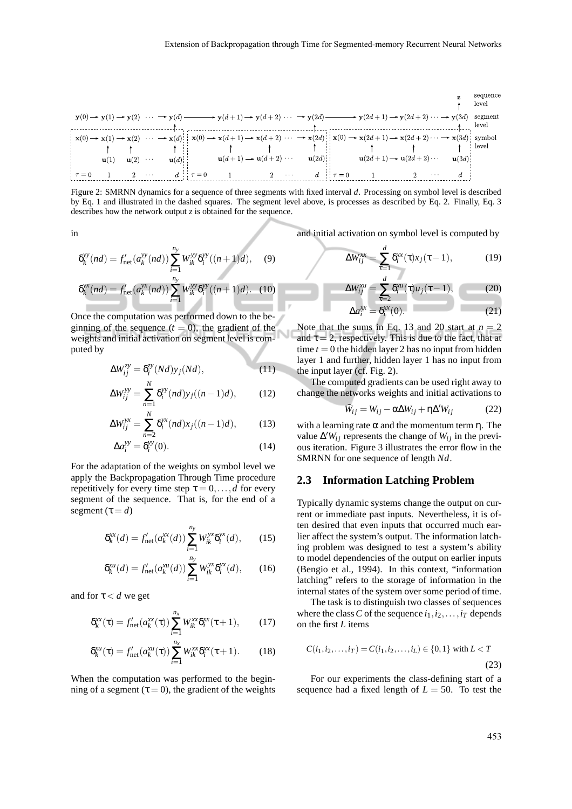

Figure 2: SMRNN dynamics for a sequence of three segments with fixed interval *d*. Processing on symbol level is described by Eq. 1 and illustrated in the dashed squares. The segment level above, is processes as described by Eq. 2. Finally, Eq. 3 describes how the network output *z* is obtained for the sequence.

in

$$
\delta_k^{yy}(nd) = f'_{\text{net}}(a_k^{yy}(nd)) \sum_{i=1}^{n_y} W_{ik}^{yy} \delta_i^{yy}((n+1)d), \quad (9)
$$

$$
\delta_k^{yx}(nd) = f'_{\text{net}}(a_k^{yx}(nd)) \sum_{i=1}^{n_y} W_{ik}^{yy} \delta_i^{yy}((n+1)d). \quad (10)
$$

Once the computation was performed down to the beginning of the sequence  $(t = 0)$ , the gradient of the N weights and initial activation on segment level is computed by

*i*=1

$$
\Delta W_{ij}^{zy} = \delta_i^{zy}(Nd)y_j(Nd), \qquad (11)
$$

$$
\Delta W_{ij}^{yy} = \sum_{n=1}^{N} \delta_i^{yy}(nd)y_j((n-1)d),
$$
 (12)

$$
\Delta W_{ij}^{yx} = \sum_{n=2}^{N} \delta_i^{yx}(nd)x_j((n-1)d), \qquad (13)
$$

$$
\Delta a_i^{yy} = \delta_i^{yy}(0). \tag{14}
$$

For the adaptation of the weights on symbol level we apply the Backpropagation Through Time procedure repetitively for every time step  $\tau = 0, \ldots, d$  for every segment of the sequence. That is, for the end of a segment  $(\tau = d)$ 

$$
\delta_k^{xx}(d) = f'_{\text{net}}(a_k^{xx}(d)) \sum_{i=1}^{n_y} W_{ik}^{yx} \delta_i^{yx}(d), \quad (15)
$$

$$
\delta_k^{xu}(d) = f'_{\text{net}}(a_k^{xu}(d)) \sum_{i=1}^{n_y} W_{ik}^{yx} \delta_i^{yx}(d), \quad (16)
$$

and for  $\tau < d$  we get

$$
\delta_k^{xx}(\tau) = f'_{\text{net}}(a_k^{xx}(\tau)) \sum_{i=1}^{n_x} W_{ik}^{xx} \delta_i^{xx}(\tau + 1), \qquad (17)
$$

$$
\delta_k^{xu}(\tau) = f'_{\text{net}}(a_k^{xu}(\tau)) \sum_{i=1}^{n_x} W_{ik}^{xx} \delta_i^{xx}(\tau + 1).
$$
 (18)

When the computation was performed to the beginning of a segment ( $\tau = 0$ ), the gradient of the weights and initial activation on symbol level is computed by

$$
\Delta W_{ij}^{\text{av}} = \sum_{\tau=1}^{d} \delta_i^{\text{xx}}(\tau) x_j(\tau - 1), \tag{19}
$$

$$
\Delta W_{ij}^{xu} = \sum_{\tau=2}^{d} \delta_i^{xu}(\tau) u_j(\tau - 1), \qquad (20)
$$

$$
\Delta a_i^{xx} = \delta_i^{xx}(0). \tag{21}
$$

Note that the sums in Eq. 13 and 20 start at  $n = 2$ and  $\tau = 2$ , respectively. This is due to the fact, that at time  $t = 0$  the hidden layer 2 has no input from hidden layer 1 and further, hidden layer 1 has no input from the input layer (cf. Fig. 2).

The computed gradients can be used right away to change the networks weights and initial activations to

$$
\tilde{W}_{ij} = W_{ij} - \alpha \Delta W_{ij} + \eta \Delta' W_{ij}
$$
 (22)

with a learning rate  $\alpha$  and the momentum term  $\eta$ . The value  $\Delta'W_{ij}$  represents the change of  $W_{ij}$  in the previous iteration. Figure 3 illustrates the error flow in the SMRNN for one sequence of length *Nd*.

#### **2.3 Information Latching Problem**

Typically dynamic systems change the output on current or immediate past inputs. Nevertheless, it is often desired that even inputs that occurred much earlier affect the system's output. The information latching problem was designed to test a system's ability to model dependencies of the output on earlier inputs (Bengio et al., 1994). In this context, "information latching" refers to the storage of information in the internal states of the system over some period of time.

The task is to distinguish two classes of sequences where the class *C* of the sequence  $i_1, i_2, \ldots, i_T$  depends on the first *L* items

$$
C(i_1, i_2, \dots, i_T) = C(i_1, i_2, \dots, i_L) \in \{0, 1\} \text{ with } L < T
$$
\n(23)

For our experiments the class-defining start of a sequence had a fixed length of  $L = 50$ . To test the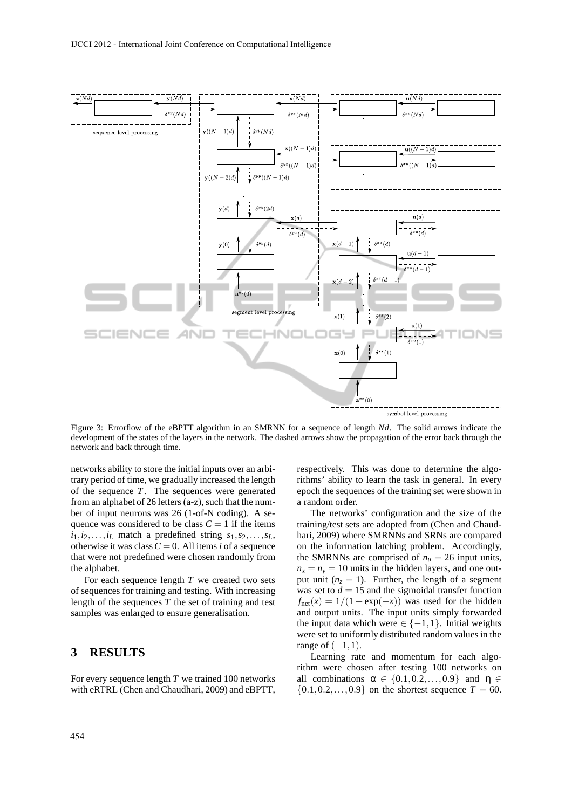

Figure 3: Errorflow of the eBPTT algorithm in an SMRNN for a sequence of length *Nd*. The solid arrows indicate the development of the states of the layers in the network. The dashed arrows show the propagation of the error back through the network and back through time.

networks ability to store the initial inputs over an arbitrary period of time, we gradually increased the length of the sequence *T*. The sequences were generated from an alphabet of 26 letters (a-z), such that the number of input neurons was 26 (1-of-N coding). A sequence was considered to be class  $C = 1$  if the items  $i_1, i_2, \ldots, i_L$  match a predefined string  $s_1, s_2, \ldots, s_L$ , otherwise it was class  $C = 0$ . All items *i* of a sequence that were not predefined were chosen randomly from the alphabet.

For each sequence length *T* we created two sets of sequences for training and testing. With increasing length of the sequences *T* the set of training and test samples was enlarged to ensure generalisation.

## **3 RESULTS**

For every sequence length *T* we trained 100 networks with eRTRL (Chen and Chaudhari, 2009) and eBPTT, respectively. This was done to determine the algorithms' ability to learn the task in general. In every epoch the sequences of the training set were shown in a random order.

The networks' configuration and the size of the training/test sets are adopted from (Chen and Chaudhari, 2009) where SMRNNs and SRNs are compared on the information latching problem. Accordingly, the SMRNNs are comprised of  $n_u = 26$  input units,  $n_x = n_y = 10$  units in the hidden layers, and one output unit  $(n_z = 1)$ . Further, the length of a segment was set to  $d = 15$  and the sigmoidal transfer function  $f_{\text{net}}(x) = 1/(1 + \exp(-x))$  was used for the hidden and output units. The input units simply forwarded the input data which were  $\in \{-1,1\}$ . Initial weights were set to uniformly distributed random values in the range of  $(-1,1)$ .

Learning rate and momentum for each algorithm were chosen after testing 100 networks on all combinations  $\alpha \in \{0.1, 0.2, \ldots, 0.9\}$  and  $\eta \in$  $\{0.1, 0.2, ..., 0.9\}$  on the shortest sequence  $T = 60$ .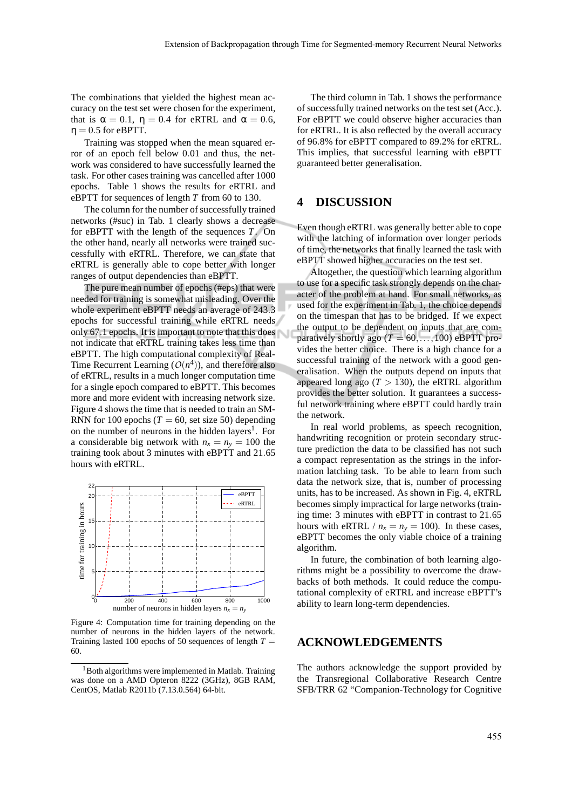The combinations that yielded the highest mean accuracy on the test set were chosen for the experiment, that is  $\alpha = 0.1$ ,  $\eta = 0.4$  for eRTRL and  $\alpha = 0.6$ ,  $\eta = 0.5$  for eBPTT.

Training was stopped when the mean squared error of an epoch fell below 0.01 and thus, the network was considered to have successfully learned the task. For other cases training was cancelled after 1000 epochs. Table 1 shows the results for eRTRL and eBPTT for sequences of length *T* from 60 to 130.

The column for the number of successfully trained networks (#suc) in Tab. 1 clearly shows a decrease for eBPTT with the length of the sequences *T*. On the other hand, nearly all networks were trained successfully with eRTRL. Therefore, we can state that eRTRL is generally able to cope better with longer ranges of output dependencies than eBPTT.

The pure mean number of epochs (#eps) that were needed for training is somewhat misleading. Over the whole experiment eBPTT needs an average of 243.3 epochs for successful training while eRTRL needs only 67.1 epochs. It is important to note that this does not indicate that eRTRL training takes less time than eBPTT. The high computational complexity of Real-Time Recurrent Learning  $(O(n^4))$ , and therefore also of eRTRL, results in a much longer computation time for a single epoch compared to eBPTT. This becomes more and more evident with increasing network size. Figure 4 shows the time that is needed to train an SM-RNN for 100 epochs ( $T = 60$ , set size 50) depending on the number of neurons in the hidden layers<sup>1</sup>. For a considerable big network with  $n_x = n_y = 100$  the training took about 3 minutes with eBPTT and 21.65 hours with eRTRL.



Figure 4: Computation time for training depending on the number of neurons in the hidden layers of the network. Training lasted 100 epochs of 50 sequences of length  $T =$ 60.

The third column in Tab. 1 shows the performance of successfully trained networks on the test set (Acc.). For eBPTT we could observe higher accuracies than for eRTRL. It is also reflected by the overall accuracy of 96.8% for eBPTT compared to 89.2% for eRTRL. This implies, that successful learning with eBPTT guaranteed better generalisation.

### **4 DISCUSSION**

Even though eRTRL was generally better able to cope with the latching of information over longer periods of time, the networks that finally learned the task with eBPTT showed higher accuracies on the test set.

Altogether, the question which learning algorithm to use for a specific task strongly depends on the character of the problem at hand. For small networks, as used for the experiment in Tab. 1, the choice depends on the timespan that has to be bridged. If we expect the output to be dependent on inputs that are comparatively shortly ago  $(T = 60, \ldots, 100)$  eBPTT provides the better choice. There is a high chance for a successful training of the network with a good generalisation. When the outputs depend on inputs that appeared long ago  $(T > 130)$ , the eRTRL algorithm provides the better solution. It guarantees a successful network training where eBPTT could hardly train the network.

In real world problems, as speech recognition, handwriting recognition or protein secondary structure prediction the data to be classified has not such a compact representation as the strings in the information latching task. To be able to learn from such data the network size, that is, number of processing units, has to be increased. As shown in Fig. 4, eRTRL becomes simply impractical for large networks (training time: 3 minutes with eBPTT in contrast to 21.65 hours with eRTRL /  $n_x = n_y = 100$ ). In these cases, eBPTT becomes the only viable choice of a training algorithm.

In future, the combination of both learning algorithms might be a possibility to overcome the drawbacks of both methods. It could reduce the computational complexity of eRTRL and increase eBPTT's ability to learn long-term dependencies.

### **ACKNOWLEDGEMENTS**

The authors acknowledge the support provided by the Transregional Collaborative Research Centre SFB/TRR 62 "Companion-Technology for Cognitive

<sup>&</sup>lt;sup>1</sup>Both algorithms were implemented in Matlab. Training was done on a AMD Opteron 8222 (3GHz), 8GB RAM, CentOS, Matlab R2011b (7.13.0.564) 64-bit.